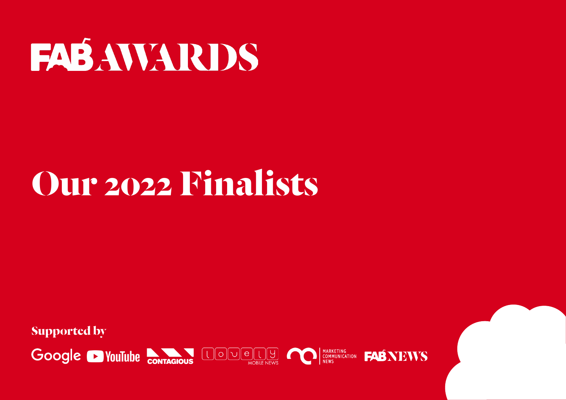#### **FAB AWARDS**

#### **Our 2022 Finalists**

**Supported by**

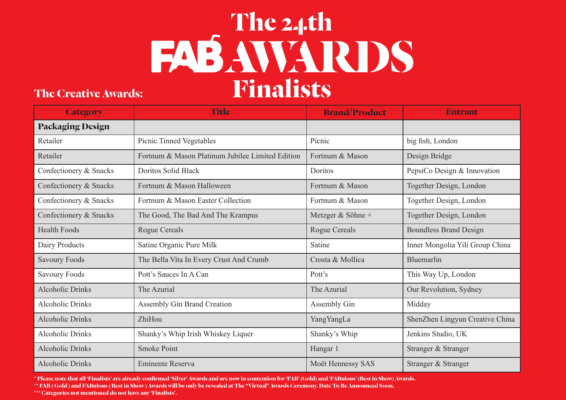#### **The Creative Awards:**

| <b>Category</b>         | <b>Title</b>                                     | <b>Brand/Product</b> | <b>Entrant</b>                  |
|-------------------------|--------------------------------------------------|----------------------|---------------------------------|
| <b>Packaging Design</b> |                                                  |                      |                                 |
| Retailer                | Picnic Tinned Vegetables                         | Picnic               | big fish, London                |
| Retailer                | Fortnum & Mason Platinum Jubilee Limited Edition | Fortnum & Mason      | Design Bridge                   |
| Confectionery & Snacks  | <b>Doritos Solid Black</b>                       | Doritos              | PepsiCo Design & Innovation     |
| Confectionery & Snacks  | Fortnum & Mason Halloween                        | Fortnum & Mason      | Together Design, London         |
| Confectionery & Snacks  | Fortnum & Mason Easter Collection                | Fortnum & Mason      | Together Design, London         |
| Confectionery & Snacks  | The Good, The Bad And The Krampus                | Metzger & Söhne +    | Together Design, London         |
| <b>Health Foods</b>     | <b>Rogue Cereals</b>                             | <b>Rogue Cereals</b> | <b>Boundless Brand Design</b>   |
| Dairy Products          | Satine Organic Pure Milk                         | Satine               | Inner Mongolia Yili Group China |
| <b>Savoury Foods</b>    | The Bella Vita In Every Crust And Crumb          | Crosta & Mollica     | Bluemarlin                      |
| <b>Savoury Foods</b>    | Pott's Sauces In A Can                           | Pott's               | This Way Up, London             |
| <b>Alcoholic Drinks</b> | The Azurial                                      | The Azurial          | Our Revolution, Sydney          |
| <b>Alcoholic Drinks</b> | <b>Assembly Gin Brand Creation</b>               | Assembly Gin         | Midday                          |
| <b>Alcoholic Drinks</b> | ZhiHou                                           | YangYangLa           | ShenZhen Lingyun Creative China |
| <b>Alcoholic Drinks</b> | Shanky's Whip Irish Whiskey Liquer               | Shanky's Whip        | Jenkins Studio, UK              |
| <b>Alcoholic Drinks</b> | <b>Smoke Point</b>                               | Hangar 1             | Stranger & Stranger             |
| <b>Alcoholic Drinks</b> | <b>Eminente Reserva</b>                          | Moët Hennessy SAS    | Stranger & Stranger             |

**\* Please note that all 'Finalists' are already confirmed 'Silver' Awards and are now in contention for 'FAB' (Gold) and 'FABulous' (Best in Show) Awards.**

**\*\* FAB ( Gold ) and FABulous ( Best in Show ) Awards will be only be revealed at The "Virtual" Awards Ceremony. Date To Be Announced Soon.**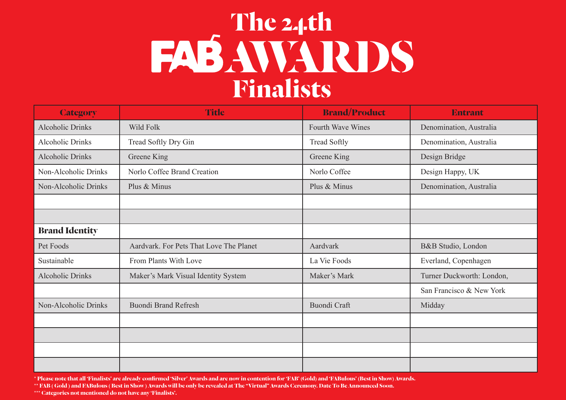## **FASAWARDS Finalists**

| <b>Category</b>         | <b>Title</b>                            | <b>Brand/Product</b>     | <b>Entrant</b>            |
|-------------------------|-----------------------------------------|--------------------------|---------------------------|
| <b>Alcoholic Drinks</b> | <b>Wild Folk</b>                        | <b>Fourth Wave Wines</b> | Denomination, Australia   |
| <b>Alcoholic Drinks</b> | Tread Softly Dry Gin                    | <b>Tread Softly</b>      | Denomination, Australia   |
| <b>Alcoholic Drinks</b> | Greene King                             | Greene King              | Design Bridge             |
| Non-Alcoholic Drinks    | Norlo Coffee Brand Creation             | Norlo Coffee             | Design Happy, UK          |
| Non-Alcoholic Drinks    | Plus & Minus                            | Plus & Minus             | Denomination, Australia   |
|                         |                                         |                          |                           |
|                         |                                         |                          |                           |
| <b>Brand Identity</b>   |                                         |                          |                           |
| Pet Foods               | Aardvark. For Pets That Love The Planet | Aardvark                 | B&B Studio, London        |
| Sustainable             | From Plants With Love                   | La Vie Foods             | Everland, Copenhagen      |
| <b>Alcoholic Drinks</b> | Maker's Mark Visual Identity System     | Maker's Mark             | Turner Duckworth: London, |
|                         |                                         |                          | San Francisco & New York  |
| Non-Alcoholic Drinks    | <b>Buondi Brand Refresh</b>             | <b>Buondi Craft</b>      | Midday                    |
|                         |                                         |                          |                           |
|                         |                                         |                          |                           |
|                         |                                         |                          |                           |
|                         |                                         |                          |                           |

**\* Please note that all 'Finalists' are already confirmed 'Silver' Awards and are now in contention for 'FAB' (Gold) and 'FABulous' (Best in Show) Awards.**

**\*\* FAB ( Gold ) and FABulous ( Best in Show ) Awards will be only be revealed at The "Virtual" Awards Ceremony. Date To Be Announced Soon.**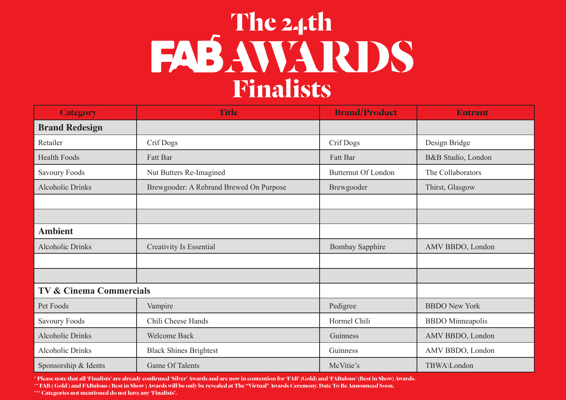| <b>Category</b>                    | <b>Title</b>                            | <b>Brand/Product</b>           | <b>Entrant</b>          |
|------------------------------------|-----------------------------------------|--------------------------------|-------------------------|
| <b>Brand Redesign</b>              |                                         |                                |                         |
| Retailer                           | Crif Dogs                               | Crif Dogs                      | Design Bridge           |
| <b>Health Foods</b>                | Fatt Bar                                | Fatt Bar<br>B&B Studio, London |                         |
| <b>Savoury Foods</b>               | Nut Butters Re-Imagined                 | <b>Butternut Of London</b>     | The Collaborators       |
| <b>Alcoholic Drinks</b>            | Brewgooder: A Rebrand Brewed On Purpose | Brewgooder                     | Thirst, Glasgow         |
|                                    |                                         |                                |                         |
|                                    |                                         |                                |                         |
| <b>Ambient</b>                     |                                         |                                |                         |
| <b>Alcoholic Drinks</b>            | <b>Creativity Is Essential</b>          | <b>Bombay Sapphire</b>         | AMV BBDO, London        |
|                                    |                                         |                                |                         |
|                                    |                                         |                                |                         |
| <b>TV &amp; Cinema Commercials</b> |                                         |                                |                         |
| Pet Foods                          | Vampire                                 | Pedigree                       | <b>BBDO New York</b>    |
| <b>Savoury Foods</b>               | Chili Cheese Hands                      | Hormel Chili                   | <b>BBDO</b> Minneapolis |
| <b>Alcoholic Drinks</b>            | <b>Welcome Back</b>                     | Guinness                       | AMV BBDO, London        |
| <b>Alcoholic Drinks</b>            | <b>Black Shines Brightest</b>           | Guinness                       | AMV BBDO, London        |
| Sponsorship & Idents               | Game Of Talents                         | McVitie's                      | TBWA\London             |

**\* Please note that all 'Finalists' are already confirmed 'Silver' Awards and are now in contention for 'FAB' (Gold) and 'FABulous' (Best in Show) Awards.**

**\*\* FAB ( Gold ) and FABulous ( Best in Show ) Awards will be only be revealed at The "Virtual" Awards Ceremony. Date To Be Announced Soon.**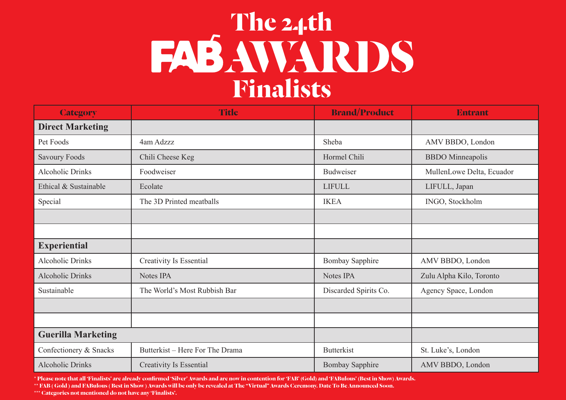| <b>Category</b>           | <b>Title</b>                    | <b>Brand/Product</b>   | <b>Entrant</b>            |
|---------------------------|---------------------------------|------------------------|---------------------------|
| <b>Direct Marketing</b>   |                                 |                        |                           |
| Pet Foods                 | 4am Adzzz                       | Sheba                  | AMV BBDO, London          |
| <b>Savoury Foods</b>      | Chili Cheese Keg                | Hormel Chili           | <b>BBDO</b> Minneapolis   |
| <b>Alcoholic Drinks</b>   | Foodweiser                      | <b>Budweiser</b>       | MullenLowe Delta, Ecuador |
| Ethical & Sustainable     | Ecolate                         | <b>LIFULL</b>          | LIFULL, Japan             |
| Special                   | The 3D Printed meatballs        | <b>IKEA</b>            | INGO, Stockholm           |
|                           |                                 |                        |                           |
|                           |                                 |                        |                           |
| <b>Experiential</b>       |                                 |                        |                           |
| <b>Alcoholic Drinks</b>   | <b>Creativity Is Essential</b>  | <b>Bombay Sapphire</b> | AMV BBDO, London          |
| <b>Alcoholic Drinks</b>   | Notes IPA                       | Notes IPA              | Zulu Alpha Kilo, Toronto  |
| Sustainable               | The World's Most Rubbish Bar    | Discarded Spirits Co.  | Agency Space, London      |
|                           |                                 |                        |                           |
|                           |                                 |                        |                           |
| <b>Guerilla Marketing</b> |                                 |                        |                           |
| Confectionery & Snacks    | Butterkist – Here For The Drama | <b>Butterkist</b>      | St. Luke's, London        |
| <b>Alcoholic Drinks</b>   | <b>Creativity Is Essential</b>  | <b>Bombay Sapphire</b> | AMV BBDO, London          |

**\* Please note that all 'Finalists' are already confirmed 'Silver' Awards and are now in contention for 'FAB' (Gold) and 'FABulous' (Best in Show) Awards.**

**\*\* FAB ( Gold ) and FABulous ( Best in Show ) Awards will be only be revealed at The "Virtual" Awards Ceremony. Date To Be Announced Soon.**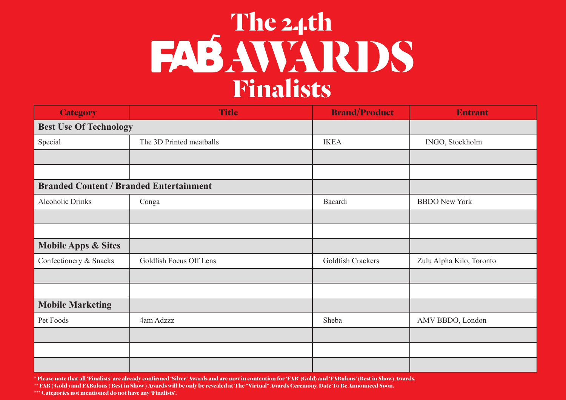#### **FABAWARDS Finalists**

| <b>Category</b>                                | <b>Title</b>             | <b>Brand/Product</b> | <b>Entrant</b>           |
|------------------------------------------------|--------------------------|----------------------|--------------------------|
| <b>Best Use Of Technology</b>                  |                          |                      |                          |
| Special                                        | The 3D Printed meatballs | <b>IKEA</b>          | INGO, Stockholm          |
|                                                |                          |                      |                          |
|                                                |                          |                      |                          |
| <b>Branded Content / Branded Entertainment</b> |                          |                      |                          |
| Alcoholic Drinks                               | Conga                    | Bacardi              | <b>BBDO</b> New York     |
|                                                |                          |                      |                          |
|                                                |                          |                      |                          |
| <b>Mobile Apps &amp; Sites</b>                 |                          |                      |                          |
| Confectionery & Snacks                         | Goldfish Focus Off Lens  | Goldfish Crackers    | Zulu Alpha Kilo, Toronto |
|                                                |                          |                      |                          |
|                                                |                          |                      |                          |
| <b>Mobile Marketing</b>                        |                          |                      |                          |
| Pet Foods                                      | 4am Adzzz                | Sheba                | AMV BBDO, London         |
|                                                |                          |                      |                          |
|                                                |                          |                      |                          |
|                                                |                          |                      |                          |

**\* Please note that all 'Finalists' are already confirmed 'Silver' Awards and are now in contention for 'FAB' (Gold) and 'FABulous' (Best in Show) Awards.**

**\*\* FAB ( Gold ) and FABulous ( Best in Show ) Awards will be only be revealed at The "Virtual" Awards Ceremony. Date To Be Announced Soon.**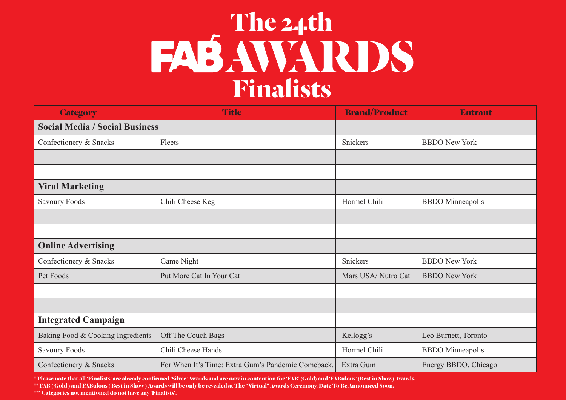| <b>Category</b>                       | <b>Title</b>                                       | <b>Brand/Product</b> | <b>Entrant</b>          |
|---------------------------------------|----------------------------------------------------|----------------------|-------------------------|
| <b>Social Media / Social Business</b> |                                                    |                      |                         |
| Confectionery & Snacks                | Fleets                                             | Snickers             | <b>BBDO</b> New York    |
|                                       |                                                    |                      |                         |
|                                       |                                                    |                      |                         |
| <b>Viral Marketing</b>                |                                                    |                      |                         |
| <b>Savoury Foods</b>                  | Chili Cheese Keg                                   | Hormel Chili         | <b>BBDO</b> Minneapolis |
|                                       |                                                    |                      |                         |
|                                       |                                                    |                      |                         |
| <b>Online Advertising</b>             |                                                    |                      |                         |
| Confectionery & Snacks                | Game Night                                         | Snickers             | <b>BBDO</b> New York    |
| Pet Foods                             | Put More Cat In Your Cat                           | Mars USA/Nutro Cat   | <b>BBDO</b> New York    |
|                                       |                                                    |                      |                         |
|                                       |                                                    |                      |                         |
| <b>Integrated Campaign</b>            |                                                    |                      |                         |
| Baking Food & Cooking Ingredients     | Off The Couch Bags                                 | Kellogg's            | Leo Burnett, Toronto    |
| Savoury Foods                         | Chili Cheese Hands                                 | Hormel Chili         | <b>BBDO</b> Minneapolis |
| Confectionery & Snacks                | For When It's Time: Extra Gum's Pandemic Comeback. | Extra Gum            | Energy BBDO, Chicago    |

**\* Please note that all 'Finalists' are already confirmed 'Silver' Awards and are now in contention for 'FAB' (Gold) and 'FABulous' (Best in Show) Awards.**

**\*\* FAB ( Gold ) and FABulous ( Best in Show ) Awards will be only be revealed at The "Virtual" Awards Ceremony. Date To Be Announced Soon.**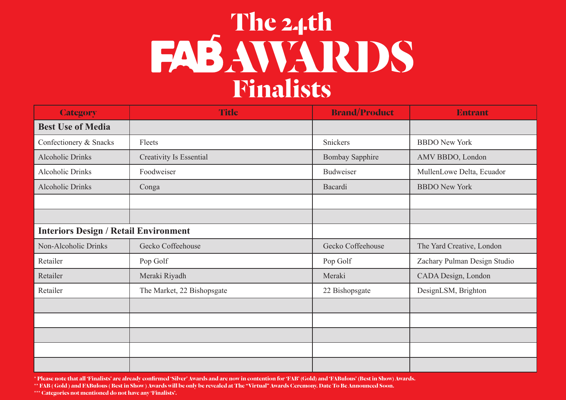### **FASAWARDS Finalists**

| <b>Category</b>                              | <b>Title</b>                   | <b>Brand/Product</b>   | <b>Entrant</b>               |
|----------------------------------------------|--------------------------------|------------------------|------------------------------|
| <b>Best Use of Media</b>                     |                                |                        |                              |
| Confectionery & Snacks                       | Fleets                         | Snickers               | <b>BBDO</b> New York         |
| <b>Alcoholic Drinks</b>                      | <b>Creativity Is Essential</b> | <b>Bombay Sapphire</b> | AMV BBDO, London             |
| Alcoholic Drinks                             | Foodweiser                     | Budweiser              | MullenLowe Delta, Ecuador    |
| <b>Alcoholic Drinks</b>                      | Conga                          | Bacardi                | <b>BBDO</b> New York         |
|                                              |                                |                        |                              |
|                                              |                                |                        |                              |
| <b>Interiors Design / Retail Environment</b> |                                |                        |                              |
| Non-Alcoholic Drinks                         | Gecko Coffeehouse              | Gecko Coffeehouse      | The Yard Creative, London    |
| Retailer                                     | Pop Golf                       | Pop Golf               | Zachary Pulman Design Studio |
| Retailer                                     | Meraki Riyadh                  | Meraki                 | CADA Design, London          |
| Retailer                                     | The Market, 22 Bishopsgate     | 22 Bishopsgate         | DesignLSM, Brighton          |
|                                              |                                |                        |                              |
|                                              |                                |                        |                              |
|                                              |                                |                        |                              |
|                                              |                                |                        |                              |
|                                              |                                |                        |                              |

**\* Please note that all 'Finalists' are already confirmed 'Silver' Awards and are now in contention for 'FAB' (Gold) and 'FABulous' (Best in Show) Awards.**

**\*\* FAB ( Gold ) and FABulous ( Best in Show ) Awards will be only be revealed at The "Virtual" Awards Ceremony. Date To Be Announced Soon.**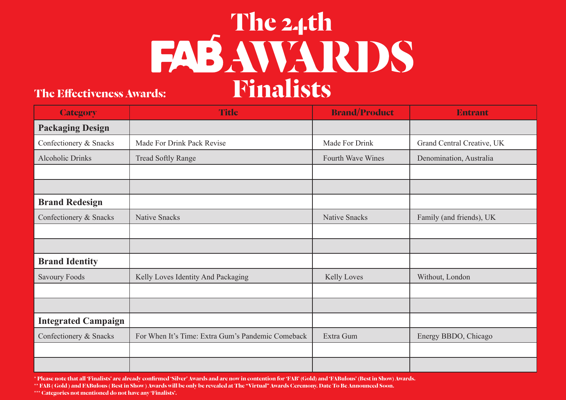## **FAB AWARDS Finalists**

#### **The Effectiveness Awards:**

| <b>Category</b>            | <b>Title</b>                                      | <b>Brand/Product</b> | <b>Entrant</b>             |
|----------------------------|---------------------------------------------------|----------------------|----------------------------|
| <b>Packaging Design</b>    |                                                   |                      |                            |
| Confectionery & Snacks     | Made For Drink Pack Revise                        | Made For Drink       | Grand Central Creative, UK |
| <b>Alcoholic Drinks</b>    | <b>Tread Softly Range</b>                         | Fourth Wave Wines    | Denomination, Australia    |
|                            |                                                   |                      |                            |
|                            |                                                   |                      |                            |
| <b>Brand Redesign</b>      |                                                   |                      |                            |
| Confectionery & Snacks     | <b>Native Snacks</b>                              | <b>Native Snacks</b> | Family (and friends), UK   |
|                            |                                                   |                      |                            |
|                            |                                                   |                      |                            |
| <b>Brand Identity</b>      |                                                   |                      |                            |
| <b>Savoury Foods</b>       | Kelly Loves Identity And Packaging                | <b>Kelly Loves</b>   | Without, London            |
|                            |                                                   |                      |                            |
|                            |                                                   |                      |                            |
| <b>Integrated Campaign</b> |                                                   |                      |                            |
| Confectionery & Snacks     | For When It's Time: Extra Gum's Pandemic Comeback | Extra Gum            | Energy BBDO, Chicago       |
|                            |                                                   |                      |                            |
|                            |                                                   |                      |                            |

**\* Please note that all 'Finalists' are already confirmed 'Silver' Awards and are now in contention for 'FAB' (Gold) and 'FABulous' (Best in Show) Awards.**

**\*\* FAB ( Gold ) and FABulous ( Best in Show ) Awards will be only be revealed at The "Virtual" Awards Ceremony. Date To Be Announced Soon.**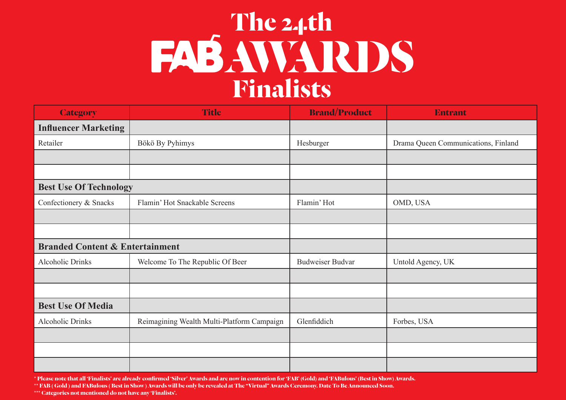#### **FASAWARDS Finalists**

| <b>Category</b>                            | <b>Title</b>                               | <b>Brand/Product</b>    | <b>Entrant</b>                      |
|--------------------------------------------|--------------------------------------------|-------------------------|-------------------------------------|
| <b>Influencer Marketing</b>                |                                            |                         |                                     |
| Retailer                                   | Bökö By Pyhimys                            | Hesburger               | Drama Queen Communications, Finland |
|                                            |                                            |                         |                                     |
|                                            |                                            |                         |                                     |
| <b>Best Use Of Technology</b>              |                                            |                         |                                     |
| Confectionery & Snacks                     | Flamin' Hot Snackable Screens              | Flamin' Hot             | OMD, USA                            |
|                                            |                                            |                         |                                     |
|                                            |                                            |                         |                                     |
| <b>Branded Content &amp; Entertainment</b> |                                            |                         |                                     |
| Alcoholic Drinks                           | Welcome To The Republic Of Beer            | <b>Budweiser Budvar</b> | Untold Agency, UK                   |
|                                            |                                            |                         |                                     |
|                                            |                                            |                         |                                     |
| <b>Best Use Of Media</b>                   |                                            |                         |                                     |
| <b>Alcoholic Drinks</b>                    | Reimagining Wealth Multi-Platform Campaign | Glenfiddich             | Forbes, USA                         |
|                                            |                                            |                         |                                     |
|                                            |                                            |                         |                                     |
|                                            |                                            |                         |                                     |

**\* Please note that all 'Finalists' are already confirmed 'Silver' Awards and are now in contention for 'FAB' (Gold) and 'FABulous' (Best in Show) Awards.**

**\*\* FAB ( Gold ) and FABulous ( Best in Show ) Awards will be only be revealed at The "Virtual" Awards Ceremony. Date To Be Announced Soon.**